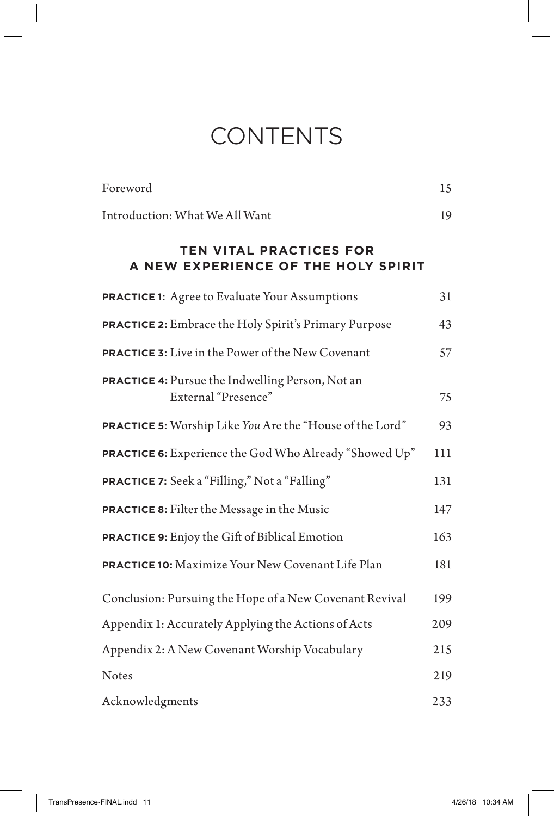# **CONTENTS**

| Foreword                                                                | 15  |
|-------------------------------------------------------------------------|-----|
| Introduction: What We All Want                                          | 19  |
| <b>TEN VITAL PRACTICES FOR</b><br>A NEW EXPERIENCE OF THE HOLY SPIRIT   |     |
| <b>PRACTICE 1:</b> Agree to Evaluate Your Assumptions                   | 31  |
| <b>PRACTICE 2:</b> Embrace the Holy Spirit's Primary Purpose            | 43  |
| <b>PRACTICE 3:</b> Live in the Power of the New Covenant                | 57  |
| PRACTICE 4: Pursue the Indwelling Person, Not an<br>External "Presence" | 75  |
| PRACTICE 5: Worship Like You Are the "House of the Lord"                | 93  |
| PRACTICE 6: Experience the God Who Already "Showed Up"                  | 111 |
| PRACTICE 7: Seek a "Filling," Not a "Falling"                           | 131 |
| <b>PRACTICE 8:</b> Filter the Message in the Music                      | 147 |
| <b>PRACTICE 9:</b> Enjoy the Gift of Biblical Emotion                   | 163 |
| PRACTICE 10: Maximize Your New Covenant Life Plan                       | 181 |
| Conclusion: Pursuing the Hope of a New Covenant Revival                 | 199 |
| Appendix 1: Accurately Applying the Actions of Acts                     | 209 |
| Appendix 2: A New Covenant Worship Vocabulary                           | 215 |
| <b>Notes</b>                                                            | 219 |
| Acknowledgments                                                         | 233 |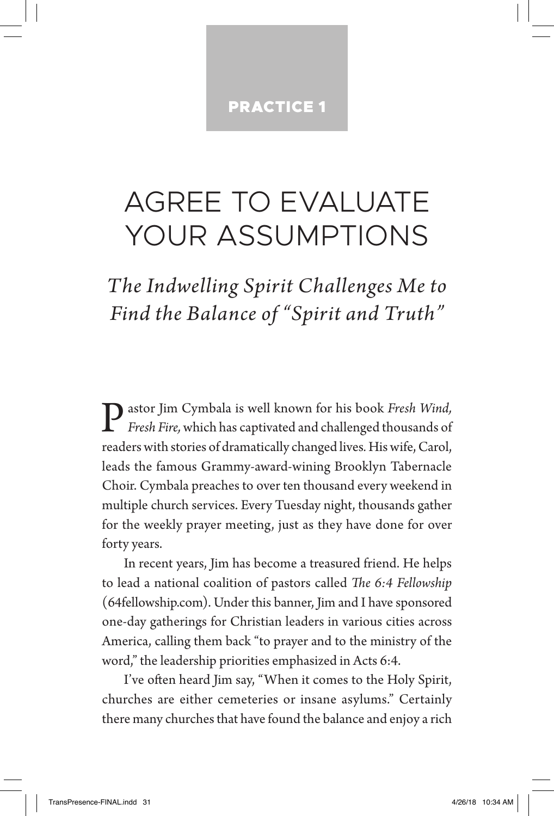# PRACTICE 1

# AGREE TO EVALUATE YOUR ASSUMPTIONS

*The Indwelling Spirit Challenges Me to Find the Balance of "Spirit and Truth"*

Pastor Jim Cymbala is well known for his book *Fresh Wind, Fresh Fire,* which has captivated and challenged thousands of readers with stories of dramatically changed lives*.* His wife, Carol, leads the famous Grammy-award-wining Brooklyn Tabernacle Choir. Cymbala preaches to over ten thousand every weekend in multiple church services. Every Tuesday night, thousands gather for the weekly prayer meeting, just as they have done for over forty years.

In recent years, Jim has become a treasured friend. He helps to lead a national coalition of pastors called *The 6:4 Fellowship* (64fellowship.com). Under this banner, Jim and I have sponsored one-day gatherings for Christian leaders in various cities across America, calling them back "to prayer and to the ministry of the word," the leadership priorities emphasized in Acts 6:4.

I've often heard Jim say, "When it comes to the Holy Spirit, churches are either cemeteries or insane asylums." Certainly there many churches that have found the balance and enjoy a rich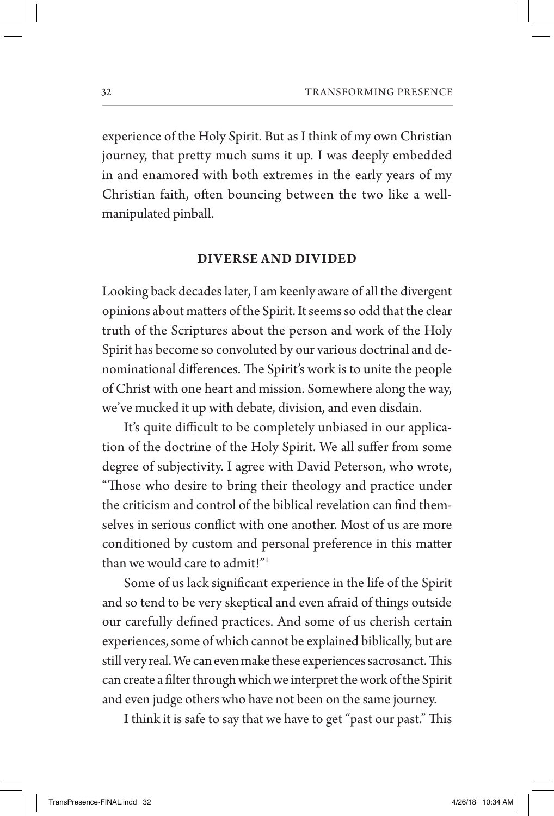experience of the Holy Spirit. But as I think of my own Christian journey, that pretty much sums it up. I was deeply embedded in and enamored with both extremes in the early years of my Christian faith, often bouncing between the two like a wellmanipulated pinball.

## **DIVERSE AND DIVIDED**

Looking back decades later, I am keenly aware of all the divergent opinions about matters of the Spirit. It seems so odd that the clear truth of the Scriptures about the person and work of the Holy Spirit has become so convoluted by our various doctrinal and denominational differences. The Spirit's work is to unite the people of Christ with one heart and mission. Somewhere along the way, we've mucked it up with debate, division, and even disdain.

It's quite difficult to be completely unbiased in our application of the doctrine of the Holy Spirit. We all suffer from some degree of subjectivity. I agree with David Peterson, who wrote, "Those who desire to bring their theology and practice under the criticism and control of the biblical revelation can find themselves in serious conflict with one another. Most of us are more conditioned by custom and personal preference in this matter than we would care to admit!"1

Some of us lack significant experience in the life of the Spirit and so tend to be very skeptical and even afraid of things outside our carefully defined practices. And some of us cherish certain experiences, some of which cannot be explained biblically, but are still very real. We can even make these experiences sacrosanct. This can create a filter through which we interpret the work of the Spirit and even judge others who have not been on the same journey.

I think it is safe to say that we have to get "past our past." This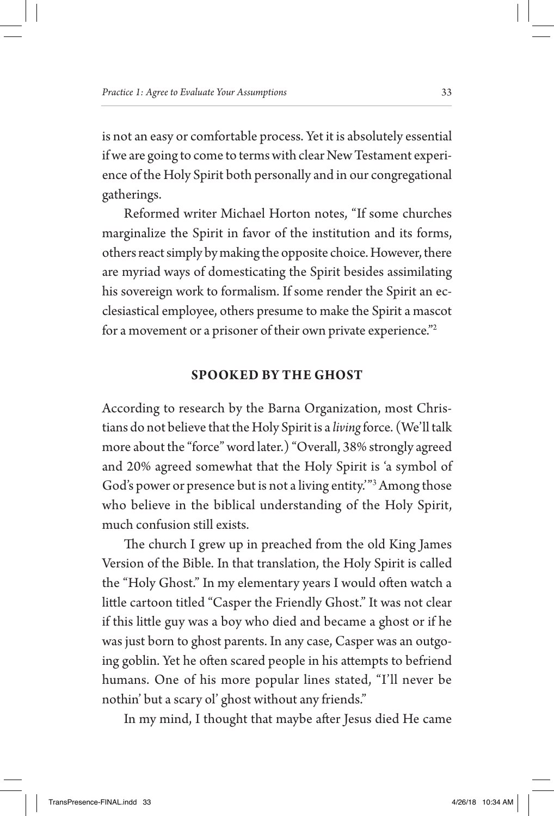is not an easy or comfortable process. Yet it is absolutely essential if we are going to come to terms with clear New Testament experience of the Holy Spirit both personally and in our congregational gatherings.

Reformed writer Michael Horton notes, "If some churches marginalize the Spirit in favor of the institution and its forms, others react simply by making the opposite choice. However, there are myriad ways of domesticating the Spirit besides assimilating his sovereign work to formalism. If some render the Spirit an ecclesiastical employee, others presume to make the Spirit a mascot for a movement or a prisoner of their own private experience."2

## **SPOOKED BY THE GHOST**

According to research by the Barna Organization, most Christians do not believe that the Holy Spirit is a *living* force. (We'll talk more about the "force" word later.) "Overall, 38% strongly agreed and 20% agreed somewhat that the Holy Spirit is 'a symbol of God's power or presence but is not a living entity.'"3 Among those who believe in the biblical understanding of the Holy Spirit, much confusion still exists.

The church I grew up in preached from the old King James Version of the Bible. In that translation, the Holy Spirit is called the "Holy Ghost." In my elementary years I would often watch a little cartoon titled "Casper the Friendly Ghost." It was not clear if this little guy was a boy who died and became a ghost or if he was just born to ghost parents. In any case, Casper was an outgoing goblin. Yet he often scared people in his attempts to befriend humans. One of his more popular lines stated, "I'll never be nothin' but a scary ol' ghost without any friends."

In my mind, I thought that maybe after Jesus died He came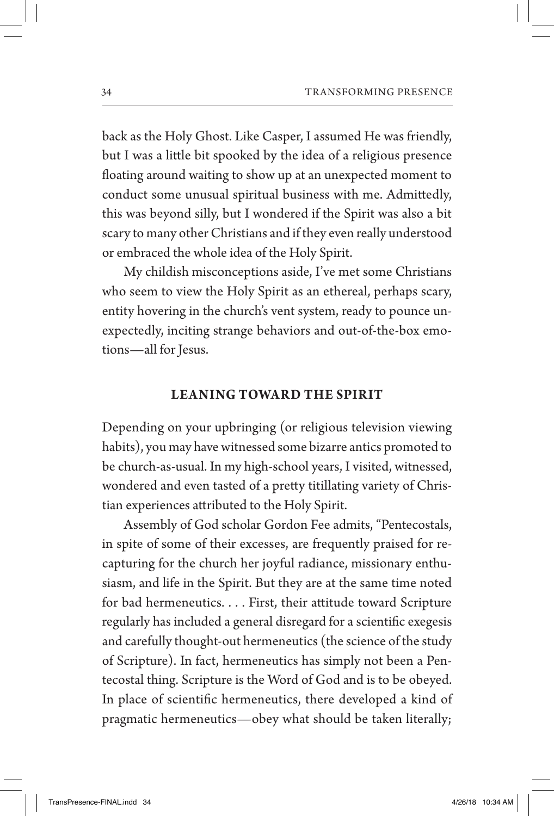back as the Holy Ghost. Like Casper, I assumed He was friendly, but I was a little bit spooked by the idea of a religious presence floating around waiting to show up at an unexpected moment to conduct some unusual spiritual business with me. Admittedly, this was beyond silly, but I wondered if the Spirit was also a bit scary to many other Christians and if they even really understood or embraced the whole idea of the Holy Spirit.

My childish misconceptions aside, I've met some Christians who seem to view the Holy Spirit as an ethereal, perhaps scary, entity hovering in the church's vent system, ready to pounce unexpectedly, inciting strange behaviors and out-of-the-box emotions—all for Jesus.

## **LEA NING TOWAR D THE SPIR IT**

Depending on your upbringing (or religious television viewing habits), you may have witnessed some bizarre antics promoted to be church-as-usual. In my high-school years, I visited, witnessed, wondered and even tasted of a pretty titillating variety of Christian experiences attributed to the Holy Spirit.

Assembly of God scholar Gordon Fee admits, "Pentecostals, in spite of some of their excesses, are frequently praised for recapturing for the church her joyful radiance, missionary enthusiasm, and life in the Spirit. But they are at the same time noted for bad hermeneutics. . . . First, their attitude toward Scripture regularly has included a general disregard for a scientific exegesis and carefully thought-out hermeneutics (the science of the study of Scripture). In fact, hermeneutics has simply not been a Pentecostal thing. Scripture is the Word of God and is to be obeyed. In place of scientific hermeneutics, there developed a kind of pragmatic hermeneutics—obey what should be taken literally;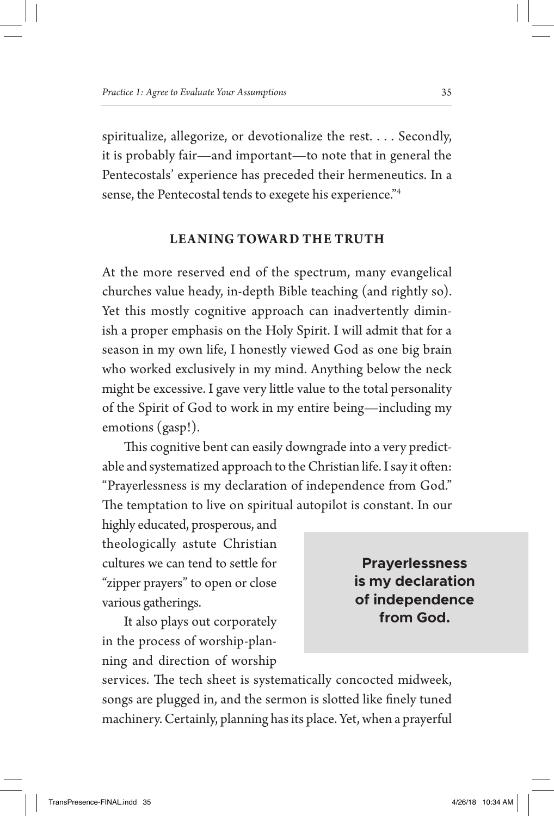spiritualize, allegorize, or devotionalize the rest. . . . Secondly, it is probably fair—and important—to note that in general the Pentecostals' experience has preceded their hermeneutics. In a sense, the Pentecostal tends to exegete his experience."4

# **LEANING TOWARD THE TRUTH**

At the more reserved end of the spectrum, many evangelical churches value heady, in-depth Bible teaching (and rightly so). Yet this mostly cognitive approach can inadvertently diminish a proper emphasis on the Holy Spirit. I will admit that for a season in my own life, I honestly viewed God as one big brain who worked exclusively in my mind. Anything below the neck might be excessive. I gave very little value to the total personality of the Spirit of God to work in my entire being—including my emotions (gasp!).

This cognitive bent can easily downgrade into a very predictable and systematized approach to the Christian life. I say it often: "Prayerlessness is my declaration of independence from God." The temptation to live on spiritual autopilot is constant. In our

highly educated, prosperous, and theologically astute Christian cultures we can tend to settle for "zipper prayers" to open or close various gatherings.

It also plays out corporately in the process of worship-planning and direction of worship

**Prayerlessness is my declaration of independence from God.**

services. The tech sheet is systematically concocted midweek, songs are plugged in, and the sermon is slotted like finely tuned machinery. Certainly, planning has its place. Yet, when a prayerful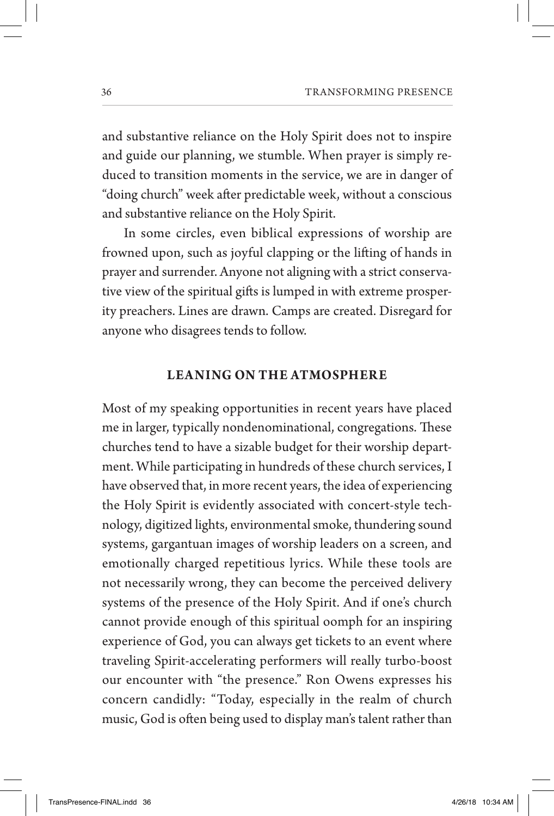and substantive reliance on the Holy Spirit does not to inspire and guide our planning, we stumble. When prayer is simply reduced to transition moments in the service, we are in danger of "doing church" week after predictable week, without a conscious and substantive reliance on the Holy Spirit.

In some circles, even biblical expressions of worship are frowned upon, such as joyful clapping or the lifting of hands in prayer and surrender. Anyone not aligning with a strict conservative view of the spiritual gifts is lumped in with extreme prosperity preachers. Lines are drawn. Camps are created. Disregard for anyone who disagrees tends to follow.

## **LEANING ON THE ATMOSPHERE**

Most of my speaking opportunities in recent years have placed me in larger, typically nondenominational, congregations. These churches tend to have a sizable budget for their worship department. While participating in hundreds of these church services, I have observed that, in more recent years, the idea of experiencing the Holy Spirit is evidently associated with concert-style technology, digitized lights, environmental smoke, thundering sound systems, gargantuan images of worship leaders on a screen, and emotionally charged repetitious lyrics. While these tools are not necessarily wrong, they can become the perceived delivery systems of the presence of the Holy Spirit. And if one's church cannot provide enough of this spiritual oomph for an inspiring experience of God, you can always get tickets to an event where traveling Spirit-accelerating performers will really turbo-boost our encounter with "the presence." Ron Owens expresses his concern candidly: "Today, especially in the realm of church music, God is often being used to display man's talent rather than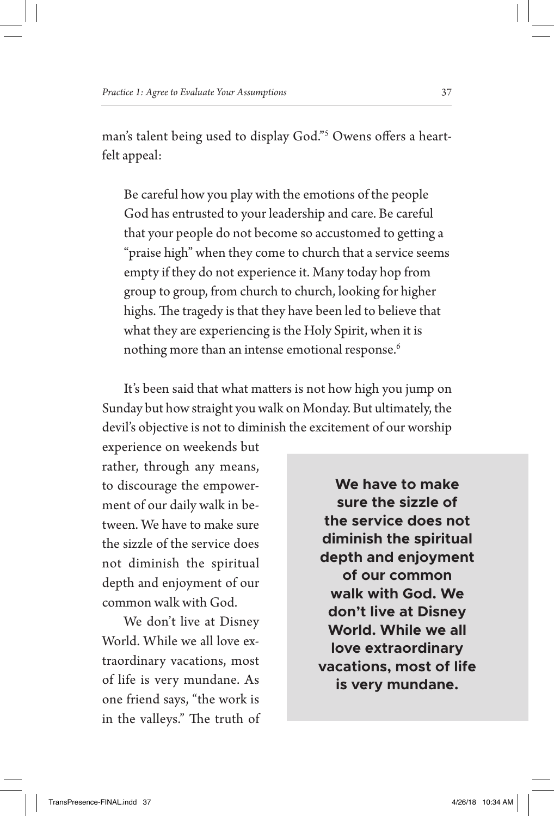man's talent being used to display God."5 Owens offers a heartfelt appeal:

Be careful how you play with the emotions of the people God has entrusted to your leadership and care. Be careful that your people do not become so accustomed to getting a "praise high" when they come to church that a service seems empty if they do not experience it. Many today hop from group to group, from church to church, looking for higher highs. The tragedy is that they have been led to believe that what they are experiencing is the Holy Spirit, when it is nothing more than an intense emotional response.<sup>6</sup>

It's been said that what matters is not how high you jump on Sunday but how straight you walk on Monday. But ultimately, the devil's objective is not to diminish the excitement of our worship

experience on weekends but rather, through any means, to discourage the empowerment of our daily walk in between. We have to make sure the sizzle of the service does not diminish the spiritual depth and enjoyment of our common walk with God.

We don't live at Disney World. While we all love extraordinary vacations, most of life is very mundane. As one friend says, "the work is in the valleys." The truth of

**We have to make sure the sizzle of the service does not diminish the spiritual depth and enjoyment of our common walk with God. We don't live at Disney World. While we all love extraordinary vacations, most of life is very mundane.**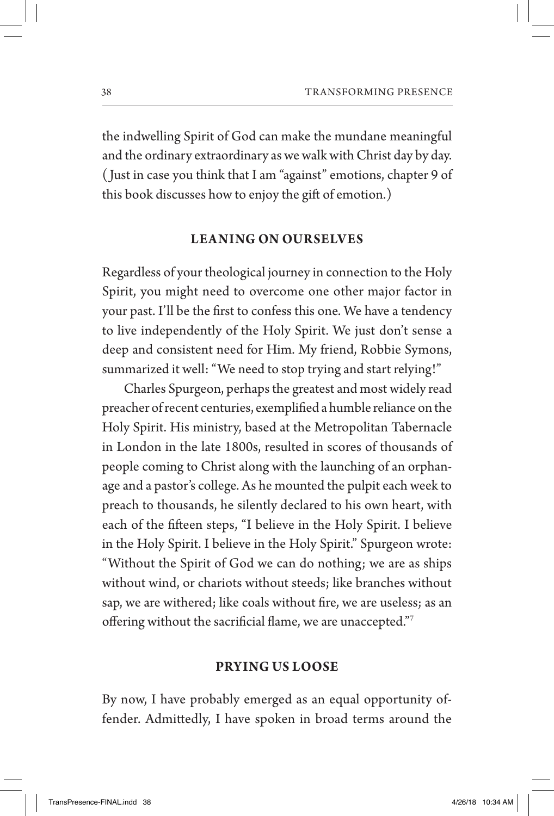the indwelling Spirit of God can make the mundane meaningful and the ordinary extraordinary as we walk with Christ day by day. ( Just in case you think that I am "against" emotions, chapter 9 of this book discusses how to enjoy the gift of emotion.)

# **LEA NING ON OURSELVES**

Regardless of your theological journey in connection to the Holy Spirit, you might need to overcome one other major factor in your past. I'll be the first to confess this one. We have a tendency to live independently of the Holy Spirit. We just don't sense a deep and consistent need for Him. My friend, Robbie Symons, summarized it well: "We need to stop trying and start relying!"

Charles Spurgeon, perhaps the greatest and most widely read preacher of recent centuries, exemplified a humble reliance on the Holy Spirit. His ministry, based at the Metropolitan Tabernacle in London in the late 1800s, resulted in scores of thousands of people coming to Christ along with the launching of an orphanage and a pastor's college. As he mounted the pulpit each week to preach to thousands, he silently declared to his own heart, with each of the fifteen steps, "I believe in the Holy Spirit. I believe in the Holy Spirit. I believe in the Holy Spirit." Spurgeon wrote: "Without the Spirit of God we can do nothing; we are as ships without wind, or chariots without steeds; like branches without sap, we are withered; like coals without fire, we are useless; as an offering without the sacrificial flame, we are unaccepted."7

# **PRYING US LOOSE**

By now, I have probably emerged as an equal opportunity offender. Admittedly, I have spoken in broad terms around the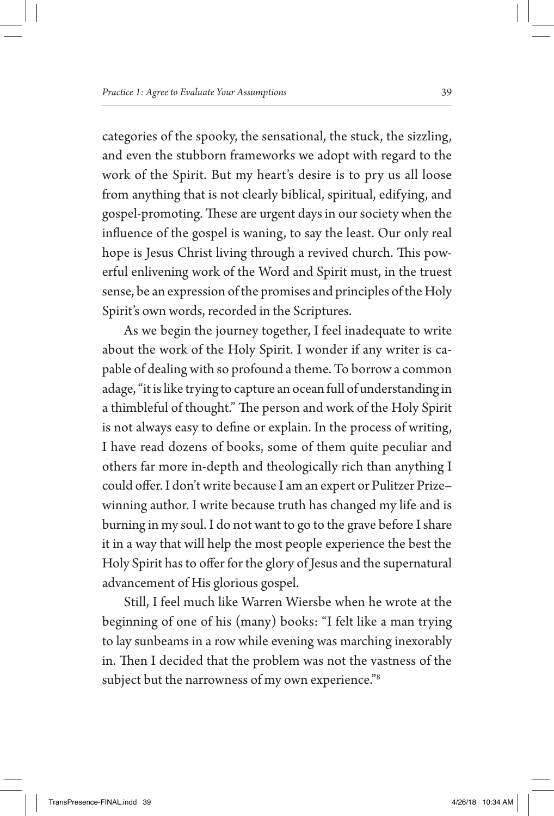categories of the spooky, the sensational, the stuck, the sizzling, and even the stubborn frameworks we adopt with regard to the work of the Spirit. But my heart's desire is to pry us all loose from anything that is not clearly biblical, spiritual, edifying, and gospel-promoting. These are urgent days in our society when the influence of the gospel is waning, to say the least. Our only real hope is Jesus Christ living through a revived church. This powerful enlivening work of the Word and Spirit must, in the truest sense, be an expression of the promises and principles of the Holy Spirit's own words, recorded in the Scriptures.

As we begin the journey together, I feel inadequate to write about the work of the Holy Spirit. I wonder if any writer is capable of dealing with so profound a theme. To borrow a common adage, "it is like trying to capture an ocean full of understanding in a thimbleful of thought." The person and work of the Holy Spirit is not always easy to define or explain. In the process of writing, I have read dozens of books, some of them quite peculiar and others far more in-depth and theologically rich than anything I could offer. I don't write because I am an expert or Pulitzer Prize– winning author. I write because truth has changed my life and is burning in my soul. I do not want to go to the grave before I share it in a way that will help the most people experience the best the Holy Spirit has to offer for the glory of Jesus and the supernatural advancement of His glorious gospel.

Still, I feel much like Warren Wiersbe when he wrote at the beginning of one of his (many) books: "I felt like a man trying to lay sunbeams in a row while evening was marching inexorably in. Then I decided that the problem was not the vastness of the subject but the narrowness of my own experience."<sup>8</sup>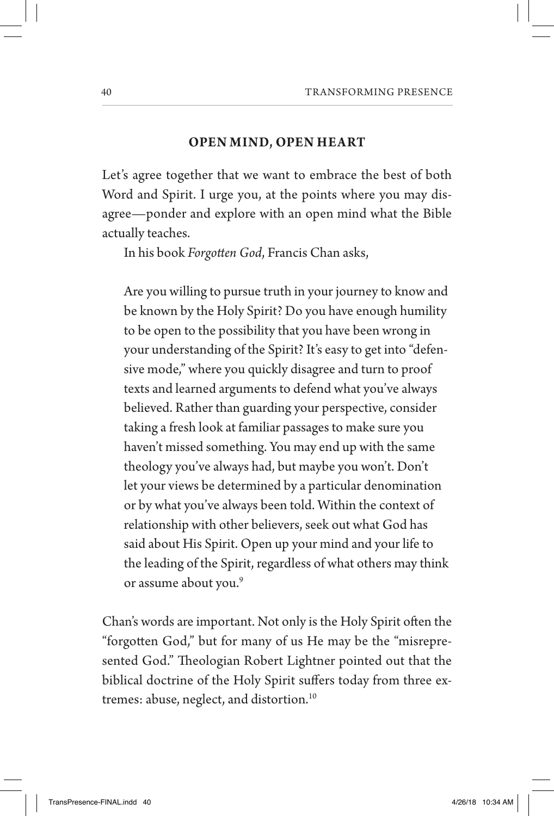# **OPEN MIND, OPEN HEART**

Let's agree together that we want to embrace the best of both Word and Spirit. I urge you, at the points where you may disagree—ponder and explore with an open mind what the Bible actually teaches.

In his book *Forgotten God*, Francis Chan asks,

Are you willing to pursue truth in your journey to know and be known by the Holy Spirit? Do you have enough humility to be open to the possibility that you have been wrong in your understanding of the Spirit? It's easy to get into "defensive mode," where you quickly disagree and turn to proof texts and learned arguments to defend what you've always believed. Rather than guarding your perspective, consider taking a fresh look at familiar passages to make sure you haven't missed something. You may end up with the same theology you've always had, but maybe you won't. Don't let your views be determined by a particular denomination or by what you've always been told. Within the context of relationship with other believers, seek out what God has said about His Spirit. Open up your mind and your life to the leading of the Spirit, regardless of what others may think or assume about you.<sup>9</sup>

Chan's words are important. Not only is the Holy Spirit often the "forgotten God," but for many of us He may be the "misrepresented God." Theologian Robert Lightner pointed out that the biblical doctrine of the Holy Spirit suffers today from three extremes: abuse, neglect, and distortion.<sup>10</sup>